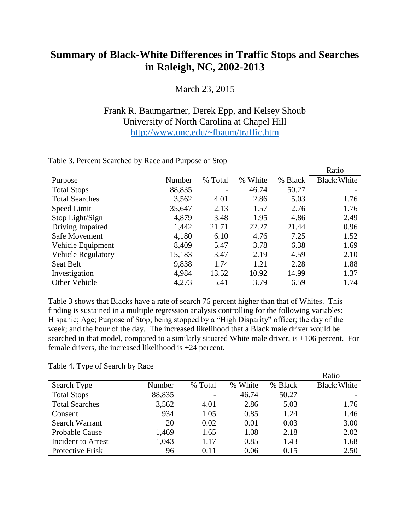## **Summary of Black-White Differences in Traffic Stops and Searches in Raleigh, NC, 2002-2013**

March 23, 2015

## Frank R. Baumgartner, Derek Epp, and Kelsey Shoub University of North Carolina at Chapel Hill <http://www.unc.edu/~fbaum/traffic.htm>

|                           |        |                          |               |         | Ratio        |
|---------------------------|--------|--------------------------|---------------|---------|--------------|
| Purpose                   | Number | % Total                  | White<br>$\%$ | % Black | Black: White |
| <b>Total Stops</b>        | 88,835 | $\overline{\phantom{0}}$ | 46.74         | 50.27   |              |
| <b>Total Searches</b>     | 3,562  | 4.01                     | 2.86          | 5.03    | 1.76         |
| Speed Limit               | 35,647 | 2.13                     | 1.57          | 2.76    | 1.76         |
| Stop Light/Sign           | 4,879  | 3.48                     | 1.95          | 4.86    | 2.49         |
| Driving Impaired          | 1,442  | 21.71                    | 22.27         | 21.44   | 0.96         |
| Safe Movement             | 4,180  | 6.10                     | 4.76          | 7.25    | 1.52         |
| Vehicle Equipment         | 8,409  | 5.47                     | 3.78          | 6.38    | 1.69         |
| <b>Vehicle Regulatory</b> | 15,183 | 3.47                     | 2.19          | 4.59    | 2.10         |
| Seat Belt                 | 9,838  | 1.74                     | 1.21          | 2.28    | 1.88         |
| Investigation             | 4,984  | 13.52                    | 10.92         | 14.99   | 1.37         |
| <b>Other Vehicle</b>      | 4,273  | 5.41                     | 3.79          | 6.59    | 1.74         |

## Table 3. Percent Searched by Race and Purpose of Stop

Table 3 shows that Blacks have a rate of search 76 percent higher than that of Whites. This finding is sustained in a multiple regression analysis controlling for the following variables: Hispanic; Age; Purpose of Stop; being stopped by a "High Disparity" officer; the day of the week; and the hour of the day. The increased likelihood that a Black male driver would be searched in that model, compared to a similarly situated White male driver, is +106 percent. For female drivers, the increased likelihood is +24 percent.

## Table 4. Type of Search by Race

|                       |        |         |         |         | Ratio        |
|-----------------------|--------|---------|---------|---------|--------------|
| Search Type           | Number | % Total | % White | % Black | Black: White |
| <b>Total Stops</b>    | 88,835 |         | 46.74   | 50.27   |              |
| <b>Total Searches</b> | 3,562  | 4.01    | 2.86    | 5.03    | 1.76         |
| Consent               | 934    | 1.05    | 0.85    | 1.24    | 1.46         |
| Search Warrant        | 20     | 0.02    | 0.01    | 0.03    | 3.00         |
| <b>Probable Cause</b> | 1,469  | 1.65    | 1.08    | 2.18    | 2.02         |
| Incident to Arrest    | 1,043  | 1.17    | 0.85    | 1.43    | 1.68         |
| Protective Frisk      | 96     | 0.11    | 0.06    | 0.15    | 2.50         |